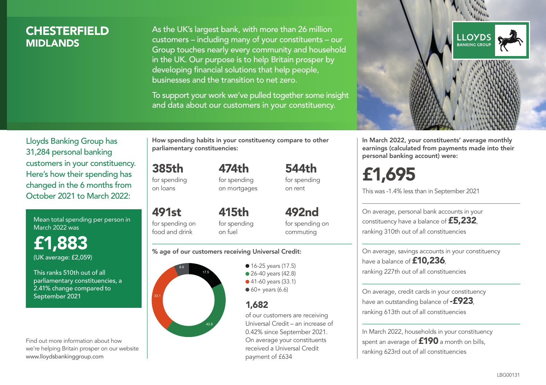# CHESTERFIELD **MIDI ANDS**

As the UK's largest bank, with more than 26 million customers – including many of your constituents – our Group touches nearly every community and household in the UK. Our purpose is to help Britain prosper by developing financial solutions that help people, businesses and the transition to net zero.

To support your work we've pulled together some insight and data about our customers in your constituency.



Mean total spending per person in March 2022 was

£1,883 (UK average: £2,059)

This ranks 510th out of all parliamentary constituencies, a 2.41% change compared to September 2021

Find out more information about how we're helping Britain prosper on our website www.lloydsbankinggroup.com

How spending habits in your constituency compare to other parliamentary constituencies:

385th for spending on loans

491st

for spending on mortgages

474th

544th for spending on rent

for spending on food and drink 415th for spending on fuel

492nd for spending on commuting

#### % age of our customers receiving Universal Credit:



• 16-25 years (17.5) • 26-40 years (42.8) ● 41-60 years (33.1)  $60+$  years (6.6)

# 1,682

of our customers are receiving Universal Credit – an increase of 0.42% since September 2021. On average your constituents received a Universal Credit payment of £634



In March 2022, your constituents' average monthly earnings (calculated from payments made into their personal banking account) were:

# £1,695

This was -1.4% less than in September 2021

On average, personal bank accounts in your constituency have a balance of £5,232, ranking 310th out of all constituencies

On average, savings accounts in your constituency have a balance of **£10,236** ranking 227th out of all constituencies

On average, credit cards in your constituency have an outstanding balance of  $-$ £923, ranking 613th out of all constituencies

In March 2022, households in your constituency spent an average of **£190** a month on bills, ranking 623rd out of all constituencies